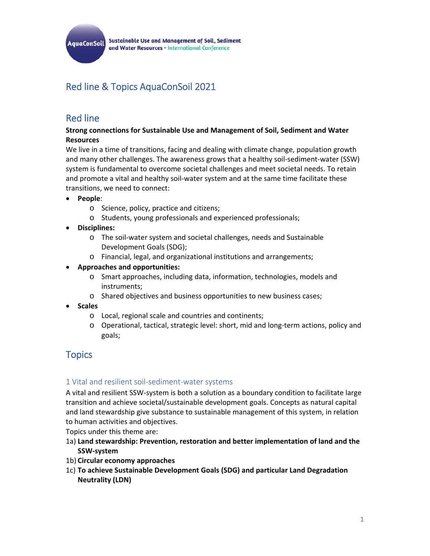

**Sustainable Use and Management of Soil, Sediment** and Water Resources - International Conference

# Red line & Topics AquaConSoil 2021

## Red line

### **Strong connections for Sustainable Use and Management of Soil, Sediment and Water Resources**

We live in a time of transitions, facing and dealing with climate change, population growth and many other challenges. The awareness grows that a healthy soil‐sediment‐water (SSW) system is fundamental to overcome societal challenges and meet societal needs. To retain and promote a vital and healthy soil-water system and at the same time facilitate these transitions, we need to connect:

- **People**:
	- o Science, policy, practice and citizens;
	- o Students, young professionals and experienced professionals;
- **Disciplines:**
	- o The soil‐water system and societal challenges, needs and Sustainable Development Goals (SDG);
	- o Financial, legal, and organizational institutions and arrangements;
- **Approaches and opportunities:** 
	- o Smart approaches, including data, information, technologies, models and instruments;
	- o Shared objectives and business opportunities to new business cases;
- **Scales** 
	- o Local, regional scale and countries and continents;
	- o Operational, tactical, strategic level: short, mid and long‐term actions, policy and goals;

## **Topics**

### 1 Vital and resilient soil‐sediment‐water systems

A vital and resilient SSW‐system is both a solution as a boundary condition to facilitate large transition and achieve societal/sustainable development goals. Concepts as natural capital and land stewardship give substance to sustainable management of this system, in relation to human activities and objectives.

Topics under this theme are:

- 1a) **Land stewardship: Prevention, restoration and better implementation of land and the SSW‐system**
- 1b) **Circular economy approaches**
- 1c) **To achieve Sustainable Development Goals (SDG) and particular Land Degradation Neutrality (LDN)**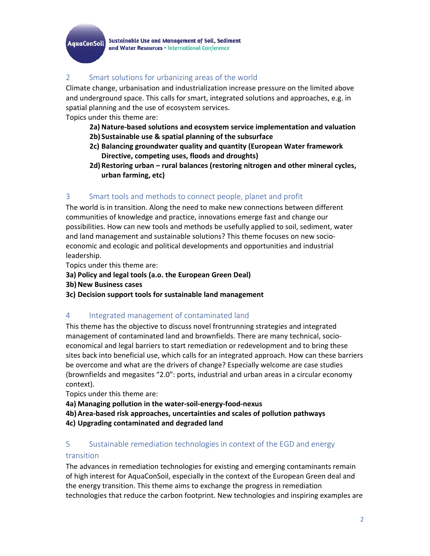**Sustainable Use and Management of Soil, Sediment AquaConSoil** and Water Resources - International Conference

## 2 Smart solutions for urbanizing areas of the world

Climate change, urbanisation and industrialization increase pressure on the limited above and underground space. This calls for smart, integrated solutions and approaches, e.g. in spatial planning and the use of ecosystem services.

Topics under this theme are:

- **2a) Nature‐based solutions and ecosystem service implementation and valuation 2b) Sustainable use & spatial planning of the subsurface**
- **2c) Balancing groundwater quality and quantity (European Water framework Directive, competing uses, floods and droughts)**
- **2d) Restoring urban rural balances (restoring nitrogen and other mineral cycles, urban farming, etc)**

## 3 Smart tools and methods to connect people, planet and profit

The world is in transition. Along the need to make new connections between different communities of knowledge and practice, innovations emerge fast and change our possibilities. How can new tools and methods be usefully applied to soil, sediment, water and land management and sustainable solutions? This theme focuses on new socio‐ economic and ecologic and political developments and opportunities and industrial leadership.

Topics under this theme are:

- **3a) Policy and legal tools (a.o. the European Green Deal)**
- **3b) New Business cases**
- **3c) Decision support tools for sustainable land management**

### 4 Integrated management of contaminated land

This theme has the objective to discuss novel frontrunning strategies and integrated management of contaminated land and brownfields. There are many technical, socio‐ economical and legal barriers to start remediation or redevelopment and to bring these sites back into beneficial use, which calls for an integrated approach. How can these barriers be overcome and what are the drivers of change? Especially welcome are case studies (brownfields and megasites "2.0": ports, industrial and urban areas in a circular economy context).

Topics under this theme are:

- **4a) Managing pollution in the water‐soil‐energy‐food‐nexus**
- **4b)Area‐based risk approaches, uncertainties and scales of pollution pathways**
- **4c) Upgrading contaminated and degraded land**

## 5 Sustainable remediation technologies in context of the EGD and energy

#### transition

The advances in remediation technologies for existing and emerging contaminants remain of high interest for AquaConSoil, especially in the context of the European Green deal and the energy transition. This theme aims to exchange the progress in remediation technologies that reduce the carbon footprint. New technologies and inspiring examples are